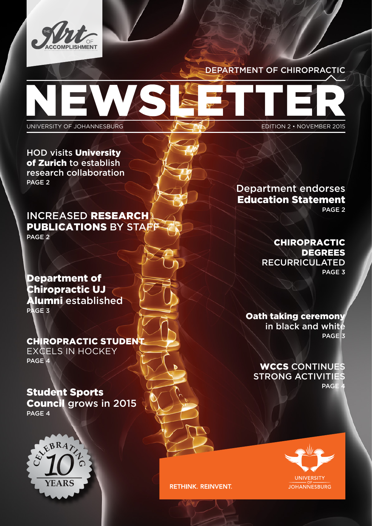

### DEPARTMENT OF CHIROPRACTIC

UNIVERSITY OF JOHANNESBURG **EDITION 2 • NOVEMBER 2015** 

HOD visits University of Zurich to establish research collaboration PAGE 2

INCREASED RESEARCH PUBLICATIONS BY STAFF PAGE 2

Department of Chiropractic UJ Alumni established PAGE 3

CHIROPRACTIC STUDENT EXCELS IN HOCKEY PAGE 4

Student Sports Council grows in 2015 PAGE 4



Department endorses Education Statement PAGE 2

> CHIROPRACTIC DEGREES

RECURRICULATED PAGE 3

Oath taking ceremony in black and white PAGE<sub>3</sub>

WCCS CONTINUES STRONG ACTIVITIES PAGE



**RETHINK. REINVENT.**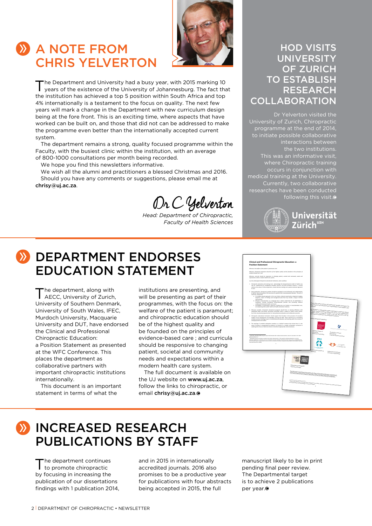# **A NOTE FROM** CHRIS YELVERTON



The Department and University had a busy year, with 2015 marking 10 years of the existence of the University of Johannesburg. The fact that the institution has achieved a top 5 position within South Africa and top 4% internationally is a testament to the focus on quality. The next few years will mark a change in the Department with new curriculum design being at the fore front. This is an exciting time, where aspects that have worked can be built on, and those that did not can be addressed to make the programme even better than the internationally accepted current system.

The department remains a strong, quality focused programme within the Faculty, with the busiest clinic within the institution, with an average of 800-1000 consultations per month being recorded.

We hope you find this newsletters informative.

We wish all the alumni and practitioners a blessed Christmas and 2016. Should you have any comments or suggestions, please email me at chrisy@uj.ac.za.

Dr C Yelverton

*Head: Department of Chiropractic, Faculty of Health Sciences*

### HOD VISITS UNIVERSITY OF ZURICH TO ESTABLISH RESEARCH COLLABORATION

Dr Yelverton visited the University of Zurich, Chiropractic programme at the end of 2014, to initiate possible collaborative interactions between the two institutions. This was an informative visit, where Chiropractic training occurs in conjunction with medical training at the University. Currently, two collaborative following this visit.



## **W** DEPARTMENT ENDORSES EDUCATION STATEMENT

The department, along with<br>AECC, University of Zurich, University of Southern Denmark, University of South Wales, IFEC, Murdoch University, Macquarie University and DUT, have endorsed the Clinical and Professional Chiropractic Education: a Position Statement as presented at the WFC Conference. This places the department as collaborative partners with important chiropractic institutions internationally.

This document is an important statement in terms of what the

institutions are presenting, and will be presenting as part of their programmes, with the focus on: the welfare of the patient is paramount; and chiropractic education should be of the highest quality and be founded on the principles of evidence-based care ; and curricula should be responsive to changing patient, societal and community needs and expectations within a modern health care system.

The full document is available on the UJ website on www.uj.ac.za, follow the links to chiropractic, or email chrisy@uj.ac.za.



## **WINCREASED RESEARCH** PUBLICATIONS BY STAFF

The department continues<br>to promote chiropractic by focusing in increasing the publication of our dissertations findings with 1 publication 2014, and in 2015 in internationally accredited journals. 2016 also promises to be a productive year for publications with four abstracts being accepted in 2015, the full

manuscript likely to be in print pending final peer review. The Departmental target is to achieve 2 publications per year.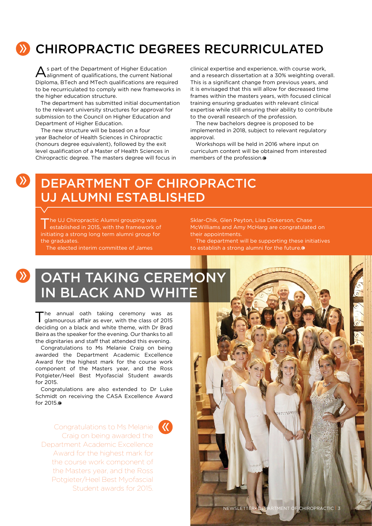# **EX CHIROPRACTIC DEGREES RECURRICULATED**

As part of the Department of Higher Education alignment of qualifications, the current National Diploma, BTech and MTech qualifications are required to be recurriculated to comply with new frameworks in the higher education structure.

The department has submitted initial documentation to the relevant university structures for approval for submission to the Council on Higher Education and Department of Higher Education.

The new structure will be based on a four year Bachelor of Health Sciences in Chiropractic (honours degree equivalent), followed by the exit level qualification of a Master of Health Sciences in Chiropractic degree. The masters degree will focus in clinical expertise and experience, with course work, and a research dissertation at a 30% weighting overall. This is a significant change from previous years, and it is envisaged that this will allow for decreased time frames within the masters years, with focused clinical training ensuring graduates with relevant clinical expertise while still ensuring their ability to contribute to the overall research of the profession.

The new bachelors degree is proposed to be implemented in 2018, subject to relevant regulatory approval.

Workshops will be held in 2016 where input on curriculum content will be obtained from interested members of the profession.

## DEPARTMENT OF CHIROPRACTIC UJ ALUMNI ESTABLISHED

The UJ Chiropractic Alumni grouping was<br>
established in 2015, with the framework of initiating a strong long term alumni group for the graduates.

 $\sum$ 

The elected interim committee of James

Sklar-Chik, Glen Peyton, Lisa Dickerson, Chase McWilliams and Amy McHarg are congratulated on their appointments.

The department will be supporting these initiatives to establish a strong alumni for the future.

# **EXECUTE TAKING CEREMONY** IN BLACK AND WHITE

The annual oath taking ceremony was as glamourous affair as ever, with the class of 2015 deciding on a black and white theme, with Dr Brad Beira as the speaker for the evening. Our thanks to all the dignitaries and staff that attended this evening.

Congratulations to Ms Melanie Craig on being awarded the Department Academic Excellence Award for the highest mark for the course work component of the Masters year, and the Ross Potgieter/Heel Best Myofascial Student awards for 2015.

Congratulations are also extended to Dr Luke Schmidt on receiving the CASA Excellence Award for 2015.

Congratulations to Ms Melanie Craig on being awarded the Department Academic Excellence Award for the highest mark for the course work component of the Masters year, and the Ross Potgieter/Heel Best Myofascial Student awards for 2015.